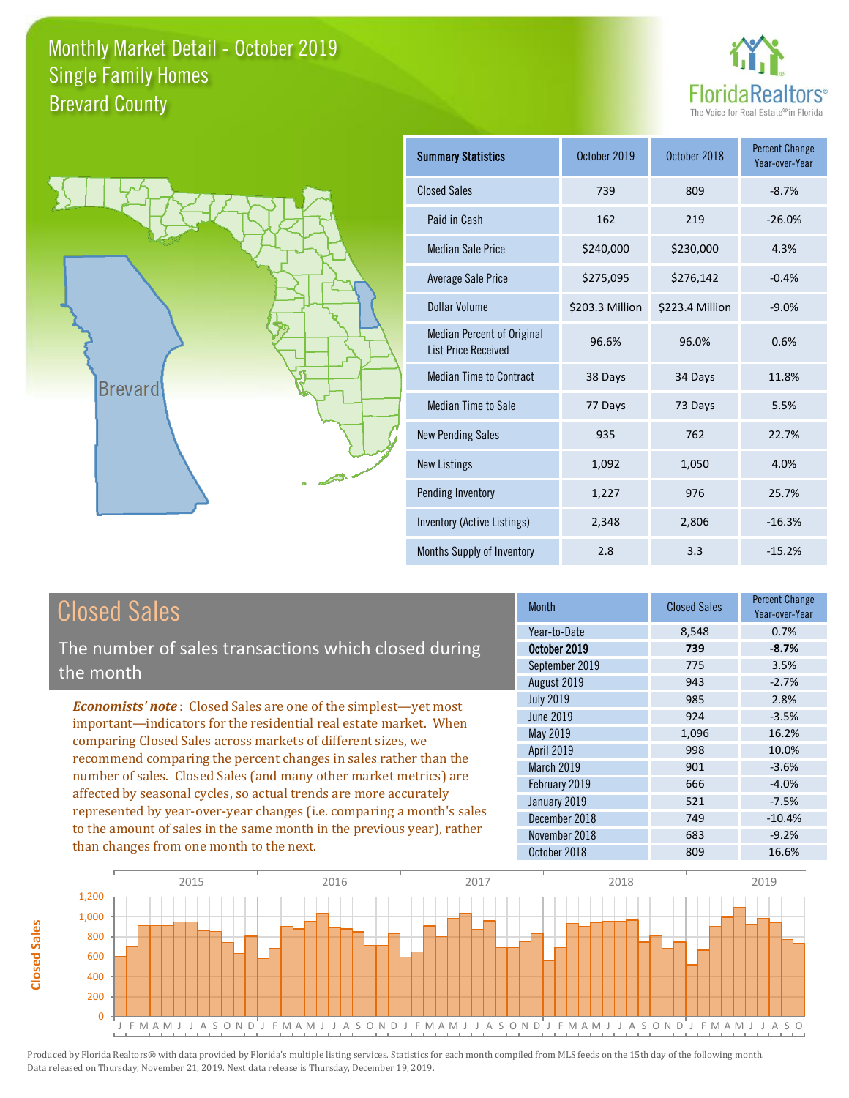



| <b>Summary Statistics</b>                                       | October 2019    | October 2018    | <b>Percent Change</b><br>Year-over-Year |
|-----------------------------------------------------------------|-----------------|-----------------|-----------------------------------------|
| <b>Closed Sales</b>                                             | 739             | 809             | $-8.7%$                                 |
| Paid in Cash                                                    | 162             | 219             | $-26.0%$                                |
| <b>Median Sale Price</b>                                        | \$240,000       | \$230,000       | 4.3%                                    |
| <b>Average Sale Price</b>                                       | \$275,095       | \$276,142       | $-0.4%$                                 |
| Dollar Volume                                                   | \$203.3 Million | \$223.4 Million | $-9.0%$                                 |
| <b>Median Percent of Original</b><br><b>List Price Received</b> | 96.6%           | 96.0%           | 0.6%                                    |
| <b>Median Time to Contract</b>                                  | 38 Days         | 34 Days         | 11.8%                                   |
| Median Time to Sale                                             | 77 Days         | 73 Days         | 5.5%                                    |
| <b>New Pending Sales</b>                                        | 935             | 762             | 22.7%                                   |
| <b>New Listings</b>                                             | 1,092           | 1,050           | 4.0%                                    |
| Pending Inventory                                               | 1,227           | 976             | 25.7%                                   |
| Inventory (Active Listings)                                     | 2,348           | 2,806           | $-16.3%$                                |
| Months Supply of Inventory                                      | 2.8             | 3.3             | $-15.2%$                                |

**Closed Sales**

**Closed Sales** 

The number of sales transactions which closed during the month

*Economists' note* : Closed Sales are one of the simplest—yet most important—indicators for the residential real estate market. When comparing Closed Sales across markets of different sizes, we recommend comparing the percent changes in sales rather than the number of sales. Closed Sales (and many other market metrics) are affected by seasonal cycles, so actual trends are more accurately represented by year-over-year changes (i.e. comparing a month's sales to the amount of sales in the same month in the previous year), rather than changes from one month to the next.

| <b>Month</b>     | <b>Closed Sales</b> | <b>Percent Change</b><br>Year-over-Year |
|------------------|---------------------|-----------------------------------------|
| Year-to-Date     | 8,548               | 0.7%                                    |
| October 2019     | 739                 | $-8.7%$                                 |
| September 2019   | 775                 | 3.5%                                    |
| August 2019      | 943                 | $-2.7%$                                 |
| <b>July 2019</b> | 985                 | 2.8%                                    |
| June 2019        | 924                 | $-3.5%$                                 |
| May 2019         | 1,096               | 16.2%                                   |
| April 2019       | 998                 | 10.0%                                   |
| March 2019       | 901                 | $-3.6%$                                 |
| February 2019    | 666                 | $-4.0%$                                 |
| January 2019     | 521                 | $-7.5%$                                 |
| December 2018    | 749                 | $-10.4%$                                |
| November 2018    | 683                 | $-9.2%$                                 |
| October 2018     | 809                 | 16.6%                                   |

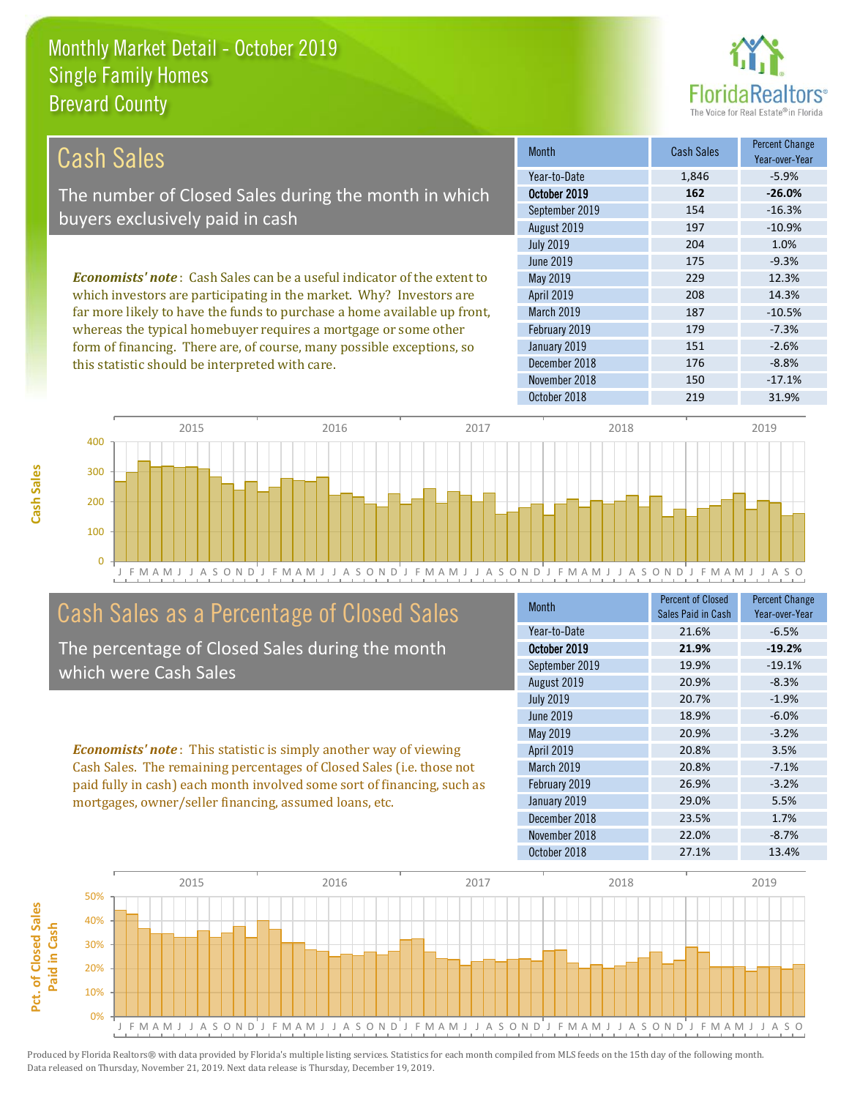

| Cash Sales                                                                     | <b>Month</b>      | <b>Cash Sales</b> | <b>Percent Change</b><br>Year-over-Year |
|--------------------------------------------------------------------------------|-------------------|-------------------|-----------------------------------------|
|                                                                                | Year-to-Date      | 1,846             | $-5.9%$                                 |
| The number of Closed Sales during the month in which                           | October 2019      | 162               | $-26.0%$                                |
|                                                                                | September 2019    | 154               | $-16.3%$                                |
| buyers exclusively paid in cash                                                | August 2019       | 197               | $-10.9%$                                |
|                                                                                | <b>July 2019</b>  | 204               | 1.0%                                    |
|                                                                                | June 2019         | 175               | $-9.3%$                                 |
| <b>Economists' note:</b> Cash Sales can be a useful indicator of the extent to | May 2019          | 229               | 12.3%                                   |
| which investors are participating in the market. Why? Investors are            | <b>April 2019</b> | 208               | 14.3%                                   |
| far more likely to have the funds to purchase a home available up front,       | <b>March 2019</b> | 187               | $-10.5%$                                |
| whereas the typical homebuyer requires a mortgage or some other                | February 2019     | 179               | $-7.3%$                                 |
| form of financing. There are, of course, many possible exceptions, so          | January 2019      | 151               | $-2.6%$                                 |
| this statistic should be interpreted with care.                                | December 2018     | 176               | $-8.8%$                                 |



# Cash Sales as a Percentage of Closed Sales

The percentage of Closed Sales during the month which were Cash Sales

*Economists' note* : This statistic is simply another way of viewing Cash Sales. The remaining percentages of Closed Sales (i.e. those not paid fully in cash) each month involved some sort of financing, such as mortgages, owner/seller financing, assumed loans, etc.

| Month            | <b>Percent of Closed</b><br>Sales Paid in Cash | <b>Percent Change</b><br>Year-over-Year |
|------------------|------------------------------------------------|-----------------------------------------|
| Year-to-Date     | 21.6%                                          | $-6.5%$                                 |
| October 2019     | 21.9%                                          | $-19.2%$                                |
| September 2019   | 19.9%                                          | $-19.1%$                                |
| August 2019      | 20.9%                                          | $-8.3%$                                 |
| <b>July 2019</b> | 20.7%                                          | $-1.9%$                                 |
| <b>June 2019</b> | 18.9%                                          | $-6.0%$                                 |
| May 2019         | 20.9%                                          | $-3.2%$                                 |
| April 2019       | 20.8%                                          | 3.5%                                    |
| March 2019       | 20.8%                                          | $-7.1%$                                 |
| February 2019    | 26.9%                                          | $-3.2%$                                 |
| January 2019     | 29.0%                                          | 5.5%                                    |
| December 2018    | 23.5%                                          | 1.7%                                    |
| November 2018    | 22.0%                                          | $-8.7%$                                 |
| October 2018     | 27.1%                                          | 13.4%                                   |

November 2018 150 150 -17.1%

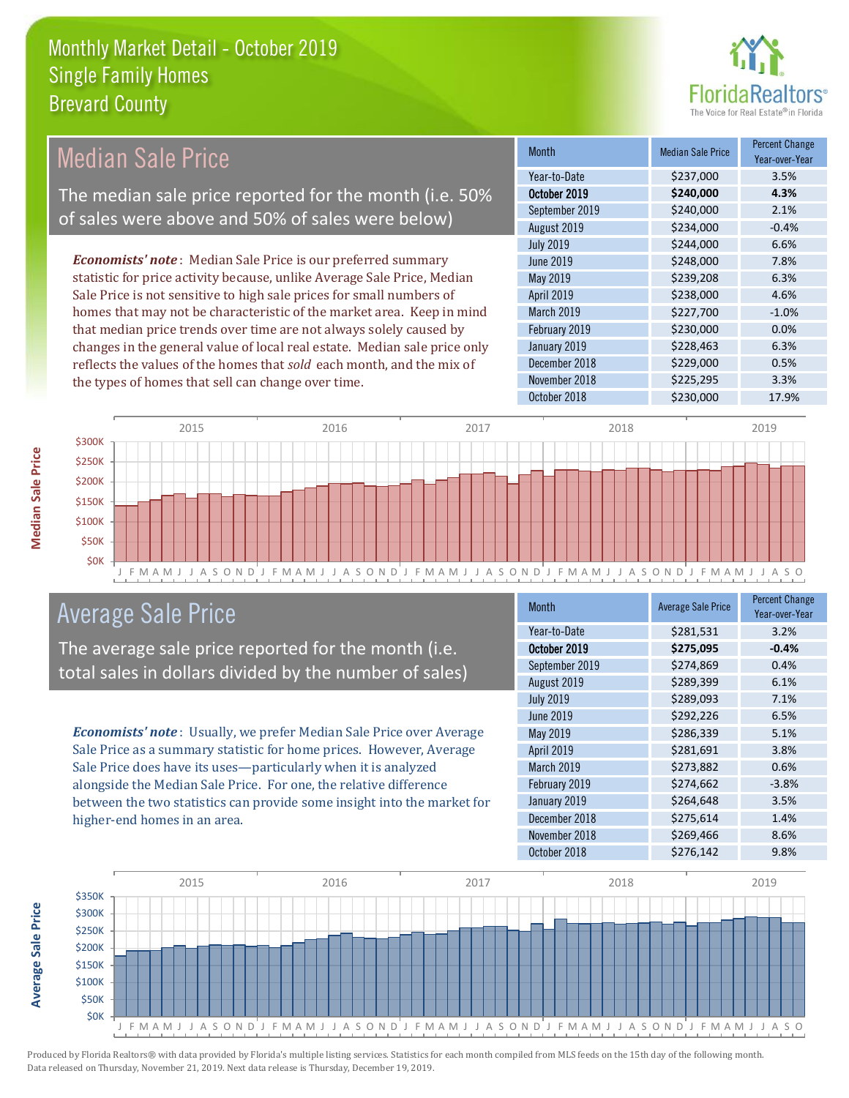

#### Month Median Sale Price Percent Change Year-over-Year October 2019 **\$240,000 4.3%** Year-to-Date \$237,000 3.5% March 2019 **\$227,700** -1.0% September 2019 \$240,000 2.1% August 2019 **\$234,000** -0.4% May 2019 **6.3%** \$239,208 6.3% April 2019 \$238,000 4.6% July 2019 **\$244,000 6.6%** June 2019 **\$248,000** \$248,000 7.8% February 2019 **\$230,000 0.0%** January 2019 **\$228,463** 6.3% December 2018 **\$229,000** 0.5% November 2018 **\$225,295** 3.3% October 2018 \$230,000 17.9% *Economists' note* : Median Sale Price is our preferred summary statistic for price activity because, unlike Average Sale Price, Median Sale Price is not sensitive to high sale prices for small numbers of homes that may not be characteristic of the market area. Keep in mind that median price trends over time are not always solely caused by changes in the general value of local real estate. Median sale price only reflects the values of the homes that *sold* each month, and the mix of the types of homes that sell can change over time. Median Sale Price The median sale price reported for the month (i.e. 50% of sales were above and 50% of sales were below)



# Average Sale Price

The average sale price reported for the month (i.e. total sales in dollars divided by the number of sales)

*Economists' note* : Usually, we prefer Median Sale Price over Average Sale Price as a summary statistic for home prices. However, Average Sale Price does have its uses—particularly when it is analyzed alongside the Median Sale Price. For one, the relative difference between the two statistics can provide some insight into the market for higher-end homes in an area.

| Month            | <b>Average Sale Price</b> | <b>Percent Change</b><br>Year-over-Year |
|------------------|---------------------------|-----------------------------------------|
| Year-to-Date     | \$281,531                 | 3.2%                                    |
| October 2019     | \$275,095                 | $-0.4%$                                 |
| September 2019   | \$274,869                 | 0.4%                                    |
| August 2019      | \$289,399                 | 6.1%                                    |
| <b>July 2019</b> | \$289,093                 | 7.1%                                    |
| <b>June 2019</b> | \$292,226                 | 6.5%                                    |
| May 2019         | \$286,339                 | 5.1%                                    |
| April 2019       | \$281,691                 | 3.8%                                    |
| March 2019       | \$273,882                 | 0.6%                                    |
| February 2019    | \$274,662                 | $-3.8%$                                 |
| January 2019     | \$264,648                 | 3.5%                                    |
| December 2018    | \$275,614                 | 1.4%                                    |
| November 2018    | \$269,466                 | 8.6%                                    |
| October 2018     | \$276,142                 | 9.8%                                    |

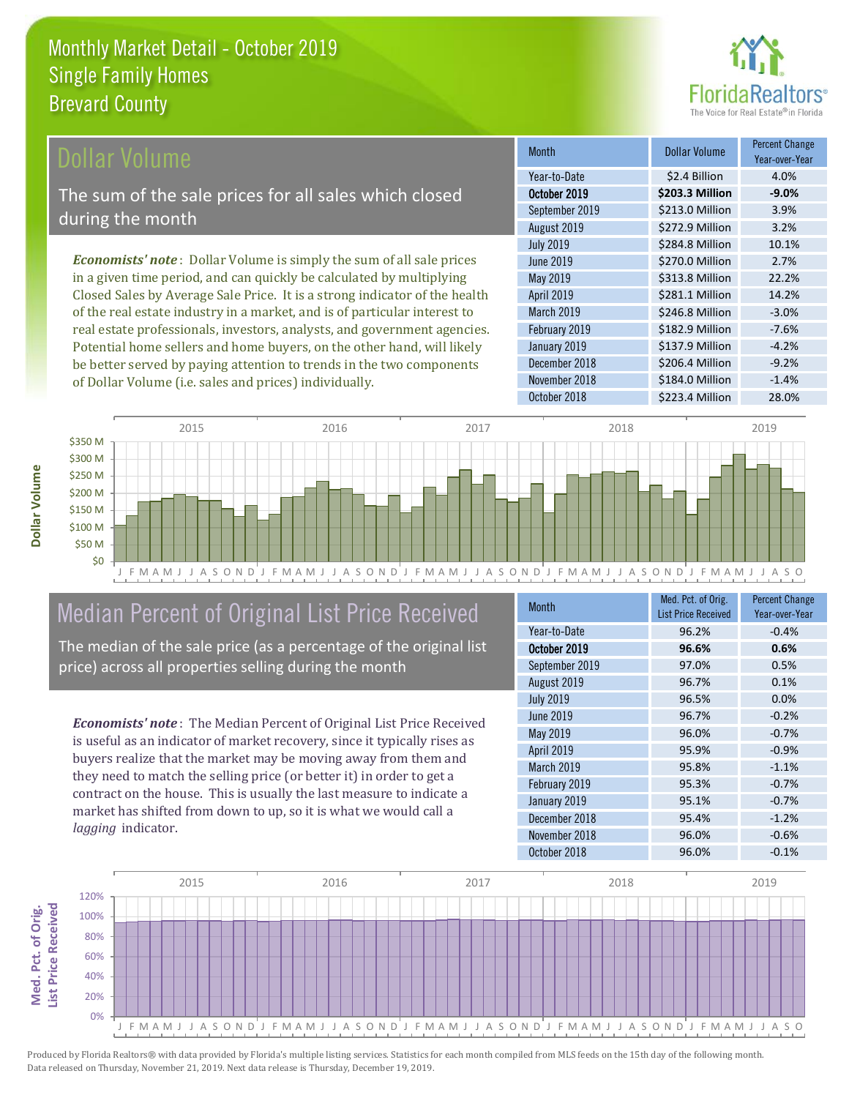

### ollar Volume

The sum of the sale prices for all sales which closed during the month

*Economists' note* : Dollar Volume is simply the sum of all sale prices in a given time period, and can quickly be calculated by multiplying Closed Sales by Average Sale Price. It is a strong indicator of the health of the real estate industry in a market, and is of particular interest to real estate professionals, investors, analysts, and government agencies. Potential home sellers and home buyers, on the other hand, will likely be better served by paying attention to trends in the two components of Dollar Volume (i.e. sales and prices) individually.

| <b>Month</b>      | <b>Dollar Volume</b> | <b>Percent Change</b><br>Year-over-Year |
|-------------------|----------------------|-----------------------------------------|
| Year-to-Date      | \$2.4 Billion        | 4.0%                                    |
| October 2019      | \$203.3 Million      | $-9.0%$                                 |
| September 2019    | \$213.0 Million      | 3.9%                                    |
| August 2019       | \$272.9 Million      | 3.2%                                    |
| <b>July 2019</b>  | \$284.8 Million      | 10.1%                                   |
| <b>June 2019</b>  | \$270.0 Million      | 2.7%                                    |
| May 2019          | \$313.8 Million      | 22.2%                                   |
| <b>April 2019</b> | \$281.1 Million      | 14.2%                                   |
| March 2019        | \$246.8 Million      | $-3.0%$                                 |
| February 2019     | \$182.9 Million      | $-7.6%$                                 |
| January 2019      | \$137.9 Million      | $-4.2%$                                 |
| December 2018     | \$206.4 Million      | $-9.2%$                                 |
| November 2018     | \$184.0 Million      | $-1.4%$                                 |
| October 2018      | \$223.4 Million      | 28.0%                                   |



# Median Percent of Original List Price Received

The median of the sale price (as a percentage of the original list price) across all properties selling during the month

*Economists' note* : The Median Percent of Original List Price Received is useful as an indicator of market recovery, since it typically rises as buyers realize that the market may be moving away from them and they need to match the selling price (or better it) in order to get a contract on the house. This is usually the last measure to indicate a market has shifted from down to up, so it is what we would call a *lagging* indicator.

| <b>Month</b>     | Med. Pct. of Orig.<br><b>List Price Received</b> | <b>Percent Change</b><br>Year-over-Year |
|------------------|--------------------------------------------------|-----------------------------------------|
| Year-to-Date     | 96.2%                                            | $-0.4%$                                 |
| October 2019     | 96.6%                                            | 0.6%                                    |
| September 2019   | 97.0%                                            | 0.5%                                    |
| August 2019      | 96.7%                                            | 0.1%                                    |
| <b>July 2019</b> | 96.5%                                            | 0.0%                                    |
| <b>June 2019</b> | 96.7%                                            | $-0.2%$                                 |
| May 2019         | 96.0%                                            | $-0.7%$                                 |
| April 2019       | 95.9%                                            | $-0.9%$                                 |
| March 2019       | 95.8%                                            | $-1.1%$                                 |
| February 2019    | 95.3%                                            | $-0.7%$                                 |
| January 2019     | 95.1%                                            | $-0.7%$                                 |
| December 2018    | 95.4%                                            | $-1.2%$                                 |
| November 2018    | 96.0%                                            | $-0.6%$                                 |
| October 2018     | 96.0%                                            | $-0.1%$                                 |



Produced by Florida Realtors® with data provided by Florida's multiple listing services. Statistics for each month compiled from MLS feeds on the 15th day of the following month. Data released on Thursday, November 21, 2019. Next data release is Thursday, December 19, 2019.

**Med. Pct. of Orig.** 

Med. Pct. of Orig.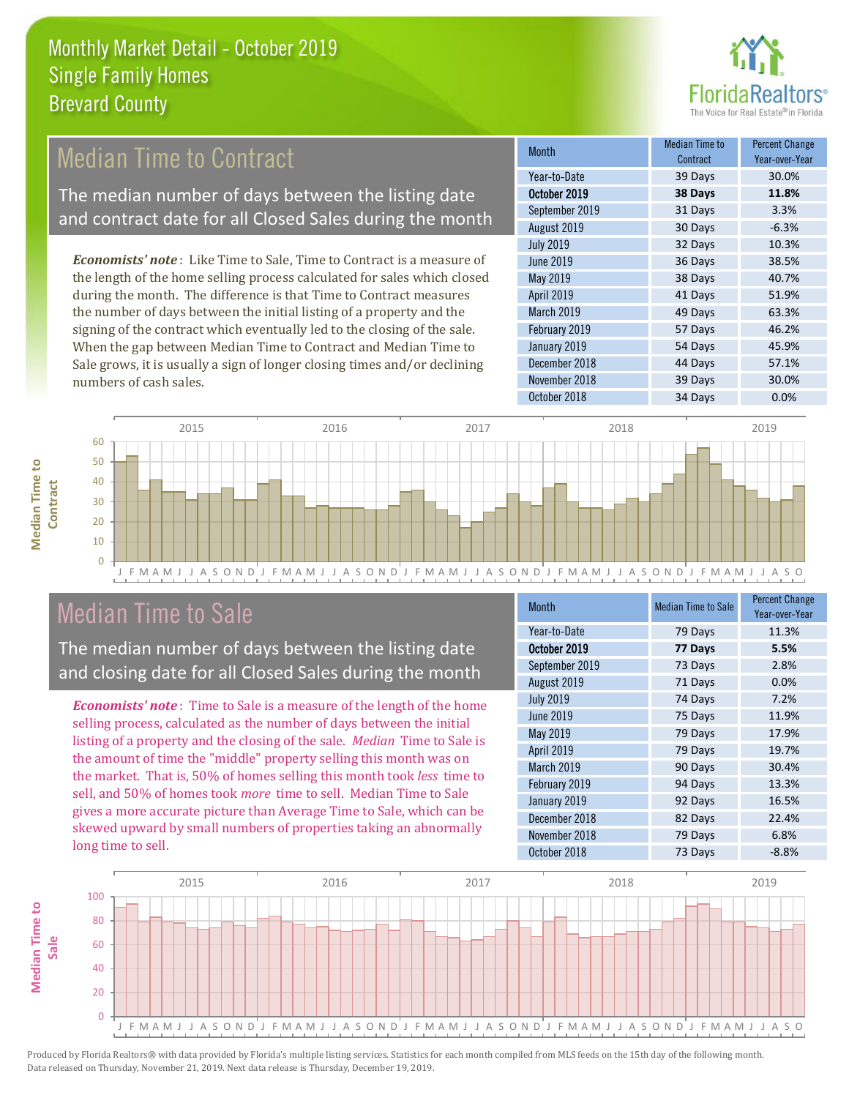

# Median Time to Contract

The median number of days between the listing date and contract date for all Closed Sales during the month

*Economists' note* : Like Time to Sale, Time to Contract is a measure of the length of the home selling process calculated for sales which closed during the month. The difference is that Time to Contract measures the number of days between the initial listing of a property and the signing of the contract which eventually led to the closing of the sale. When the gap between Median Time to Contract and Median Time to Sale grows, it is usually a sign of longer closing times and/or declining numbers of cash sales.

| <b>Month</b>     | Median Time to<br>Contract | <b>Percent Change</b><br>Year-over-Year |
|------------------|----------------------------|-----------------------------------------|
| Year-to-Date     | 39 Days                    | 30.0%                                   |
| October 2019     | 38 Days                    | 11.8%                                   |
| September 2019   | 31 Days                    | 3.3%                                    |
| August 2019      | 30 Days                    | $-6.3%$                                 |
| <b>July 2019</b> | 32 Days                    | 10.3%                                   |
| <b>June 2019</b> | 36 Days                    | 38.5%                                   |
| May 2019         | 38 Days                    | 40.7%                                   |
| April 2019       | 41 Days                    | 51.9%                                   |
| March 2019       | 49 Days                    | 63.3%                                   |
| February 2019    | 57 Days                    | 46.2%                                   |
| January 2019     | 54 Days                    | 45.9%                                   |
| December 2018    | 44 Days                    | 57.1%                                   |
| November 2018    | 39 Days                    | 30.0%                                   |
| October 2018     | 34 Days                    | 0.0%                                    |



# Median Time to Sale

**Median Time to** 

**Median Time to** 

The median number of days between the listing date and closing date for all Closed Sales during the month

*Economists' note* : Time to Sale is a measure of the length of the home selling process, calculated as the number of days between the initial listing of a property and the closing of the sale. *Median* Time to Sale is the amount of time the "middle" property selling this month was on the market. That is, 50% of homes selling this month took *less* time to sell, and 50% of homes took *more* time to sell. Median Time to Sale gives a more accurate picture than Average Time to Sale, which can be skewed upward by small numbers of properties taking an abnormally long time to sell.

| <b>Month</b>     | <b>Median Time to Sale</b> | <b>Percent Change</b><br>Year-over-Year |
|------------------|----------------------------|-----------------------------------------|
| Year-to-Date     | 79 Days                    | 11.3%                                   |
| October 2019     | 77 Days                    | 5.5%                                    |
| September 2019   | 73 Days                    | 2.8%                                    |
| August 2019      | 71 Days                    | 0.0%                                    |
| <b>July 2019</b> | 74 Days                    | 7.2%                                    |
| <b>June 2019</b> | 75 Days                    | 11.9%                                   |
| May 2019         | 79 Days                    | 17.9%                                   |
| April 2019       | 79 Days                    | 19.7%                                   |
| March 2019       | 90 Days                    | 30.4%                                   |
| February 2019    | 94 Days                    | 13.3%                                   |
| January 2019     | 92 Days                    | 16.5%                                   |
| December 2018    | 82 Days                    | 22.4%                                   |
| November 2018    | 79 Days                    | 6.8%                                    |
| October 2018     | 73 Days                    | $-8.8%$                                 |

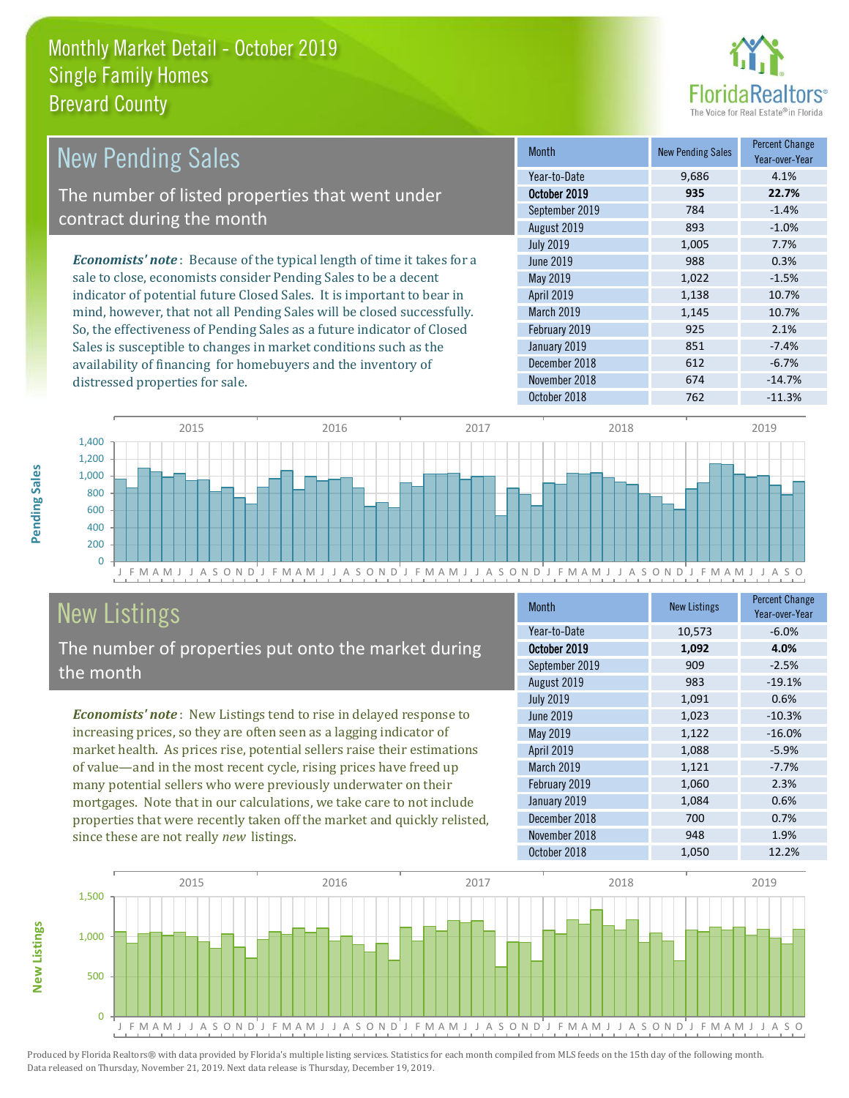

| <b>New Pending Sales</b>                                                      | <b>Month</b>      | <b>New Pending Sales</b> | <b>Percent Change</b><br>Year-over-Year |
|-------------------------------------------------------------------------------|-------------------|--------------------------|-----------------------------------------|
|                                                                               | Year-to-Date      | 9,686                    | 4.1%                                    |
| The number of listed properties that went under                               | October 2019      | 935                      | 22.7%                                   |
| contract during the month                                                     | September 2019    | 784                      | $-1.4%$                                 |
|                                                                               | August 2019       | 893                      | $-1.0\%$                                |
|                                                                               | <b>July 2019</b>  | 1,005                    | 7.7%                                    |
| <b>Economists' note:</b> Because of the typical length of time it takes for a | June 2019         | 988                      | 0.3%                                    |
| sale to close, economists consider Pending Sales to be a decent               | May 2019          | 1,022                    | $-1.5%$                                 |
| indicator of potential future Closed Sales. It is important to bear in        | <b>April 2019</b> | 1,138                    | 10.7%                                   |
| mind, however, that not all Pending Sales will be closed successfully.        | <b>March 2019</b> | 1,145                    | 10.7%                                   |
| So, the effectiveness of Pending Sales as a future indicator of Closed        | February 2019     | 925                      | 2.1%                                    |
| Sales is susceptible to changes in market conditions such as the              | January 2019      | 851                      | $-7.4%$                                 |
| availability of financing for homebuyers and the inventory of                 | December 2018     | 612                      | $-6.7%$                                 |



# New Listings

distressed properties for sale.

The number of properties put onto the market during the month

*Economists' note* : New Listings tend to rise in delayed response to increasing prices, so they are often seen as a lagging indicator of market health. As prices rise, potential sellers raise their estimations of value—and in the most recent cycle, rising prices have freed up many potential sellers who were previously underwater on their mortgages. Note that in our calculations, we take care to not include properties that were recently taken off the market and quickly relisted, since these are not really *new* listings.

| <b>Month</b>     | <b>New Listings</b> | <b>Percent Change</b><br>Year-over-Year |
|------------------|---------------------|-----------------------------------------|
| Year-to-Date     | 10,573              | $-6.0%$                                 |
| October 2019     | 1,092               | 4.0%                                    |
| September 2019   | 909                 | $-2.5%$                                 |
| August 2019      | 983                 | $-19.1%$                                |
| <b>July 2019</b> | 1,091               | 0.6%                                    |
| <b>June 2019</b> | 1,023               | $-10.3%$                                |
| May 2019         | 1,122               | $-16.0%$                                |
| April 2019       | 1,088               | $-5.9%$                                 |
| March 2019       | 1,121               | $-7.7%$                                 |
| February 2019    | 1,060               | 2.3%                                    |
| January 2019     | 1,084               | 0.6%                                    |
| December 2018    | 700                 | 0.7%                                    |
| November 2018    | 948                 | 1.9%                                    |
| October 2018     | 1,050               | 12.2%                                   |

November 2018 674 -14.7% October 2018 762 -11.3%



**New Listings**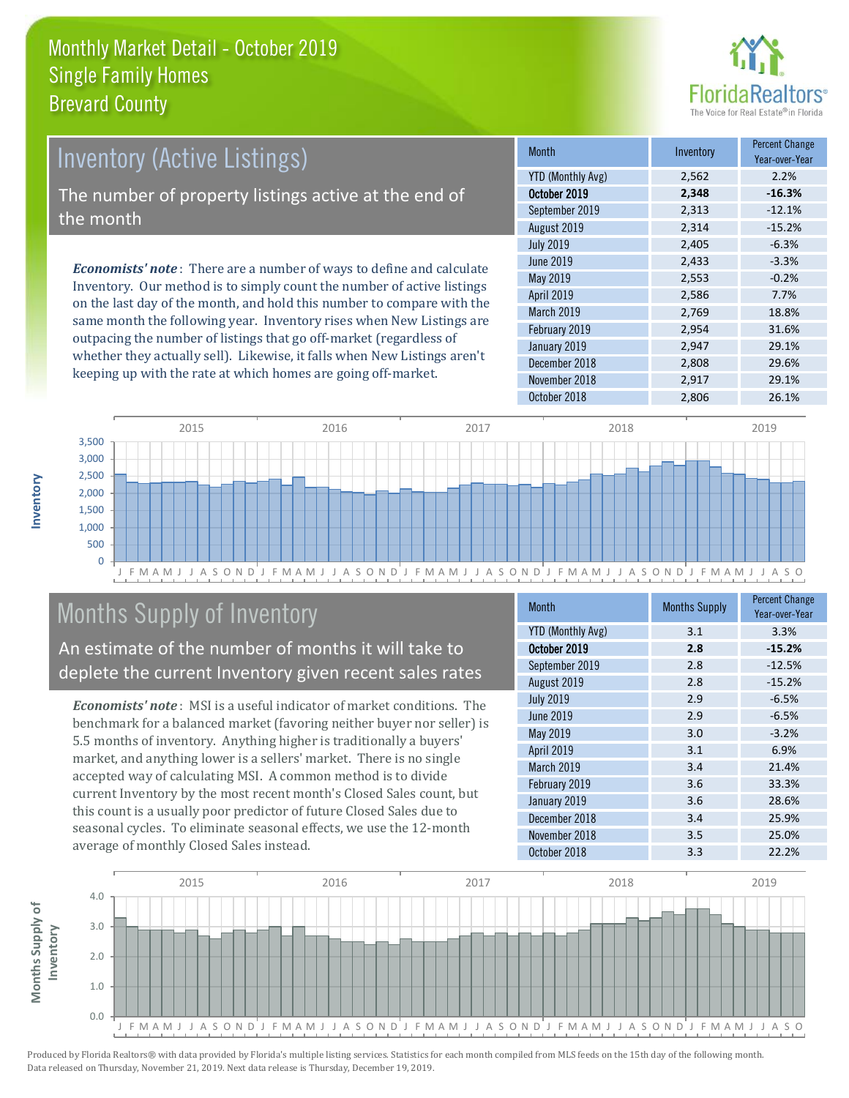

# *Economists' note* : There are a number of ways to define and calculate Inventory. Our method is to simply count the number of active listings Inventory (Active Listings) The number of property listings active at the end of the month

on the last day of the month, and hold this number to compare with the same month the following year. Inventory rises when New Listings are outpacing the number of listings that go off-market (regardless of whether they actually sell). Likewise, it falls when New Listings aren't keeping up with the rate at which homes are going off-market.

| <b>Month</b>             | Inventory | <b>Percent Change</b><br>Year-over-Year |
|--------------------------|-----------|-----------------------------------------|
| <b>YTD (Monthly Avg)</b> | 2,562     | 2.2%                                    |
| October 2019             | 2,348     | $-16.3%$                                |
| September 2019           | 2,313     | $-12.1%$                                |
| August 2019              | 2,314     | $-15.2%$                                |
| <b>July 2019</b>         | 2,405     | $-6.3%$                                 |
| <b>June 2019</b>         | 2,433     | $-3.3%$                                 |
| May 2019                 | 2,553     | $-0.2%$                                 |
| <b>April 2019</b>        | 2,586     | 7.7%                                    |
| March 2019               | 2,769     | 18.8%                                   |
| February 2019            | 2,954     | 31.6%                                   |
| January 2019             | 2,947     | 29.1%                                   |
| December 2018            | 2,808     | 29.6%                                   |
| November 2018            | 2,917     | 29.1%                                   |
| October 2018             | 2,806     | 26.1%                                   |



# Months Supply of Inventory

An estimate of the number of months it will take to deplete the current Inventory given recent sales rates

*Economists' note* : MSI is a useful indicator of market conditions. The benchmark for a balanced market (favoring neither buyer nor seller) is 5.5 months of inventory. Anything higher is traditionally a buyers' market, and anything lower is a sellers' market. There is no single accepted way of calculating MSI. A common method is to divide current Inventory by the most recent month's Closed Sales count, but this count is a usually poor predictor of future Closed Sales due to seasonal cycles. To eliminate seasonal effects, we use the 12-month average of monthly Closed Sales instead.

| <b>Month</b>      | <b>Months Supply</b> | <b>Percent Change</b><br>Year-over-Year |
|-------------------|----------------------|-----------------------------------------|
| YTD (Monthly Avg) | 3.1                  | 3.3%                                    |
| October 2019      | 2.8                  | $-15.2%$                                |
| September 2019    | 2.8                  | $-12.5%$                                |
| August 2019       | 2.8                  | $-15.2%$                                |
| <b>July 2019</b>  | 2.9                  | $-6.5%$                                 |
| June 2019         | 2.9                  | $-6.5%$                                 |
| May 2019          | 3.0                  | $-3.2%$                                 |
| <b>April 2019</b> | 3.1                  | 6.9%                                    |
| March 2019        | 3.4                  | 21.4%                                   |
| February 2019     | 3.6                  | 33.3%                                   |
| January 2019      | 3.6                  | 28.6%                                   |
| December 2018     | 3.4                  | 25.9%                                   |
| November 2018     | 3.5                  | 25.0%                                   |
| October 2018      | 3.3                  | 22.2%                                   |

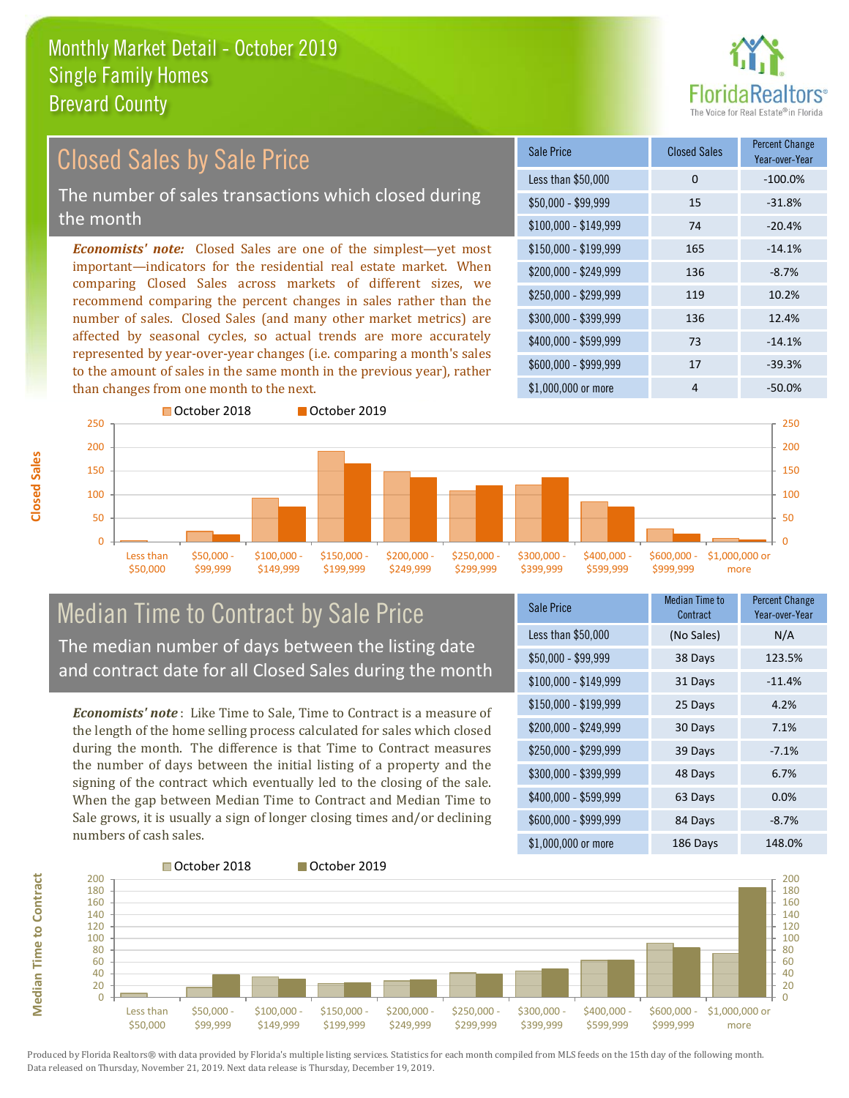

#### *Economists' note:* Closed Sales are one of the simplest—yet most important—indicators for the residential real estate market. When comparing Closed Sales across markets of different sizes, we recommend comparing the percent changes in sales rather than the number of sales. Closed Sales (and many other market metrics) are affected by seasonal cycles, so actual trends are more accurately represented by year-over-year changes (i.e. comparing a month's sales to the amount of sales in the same month in the previous year), rather than changes from one month to the next. \$1,000,000 or more 4  $-50.0\%$ \$250,000 - \$299,999 119 10.2% \$300,000 - \$399,999 136 12.4% \$400,000 - \$599,999 73 -14.1% \$600,000 - \$999,999 17 -39.3% \$150,000 - \$199,999 165 -14.1% \$200,000 - \$249,999 136 -8.7%  $$100,000 - $149,999$  74 -20.4% Sale Price Closed Sales Percent Change Year-over-Year Less than \$50,000 0 0 -100.0% \$50,000 - \$99,999 15 -31.8% 250 October 2018 **October 2019** 250 Closed Sales by Sale Price The number of sales transactions which closed during the month



### Median Time to Contract by Sale Price The median number of days between the listing date and contract date for all Closed Sales during the month

*Economists' note* : Like Time to Sale, Time to Contract is a measure of the length of the home selling process calculated for sales which closed during the month. The difference is that Time to Contract measures the number of days between the initial listing of a property and the signing of the contract which eventually led to the closing of the sale. When the gap between Median Time to Contract and Median Time to Sale grows, it is usually a sign of longer closing times and/or declining numbers of cash sales.

| <b>Sale Price</b>     | Median Time to<br>Contract | Percent Change<br>Year-over-Year |
|-----------------------|----------------------------|----------------------------------|
| Less than \$50,000    | (No Sales)                 | N/A                              |
| $$50,000 - $99,999$   | 38 Days                    | 123.5%                           |
| $$100,000 - $149,999$ | 31 Days                    | $-11.4%$                         |
| $$150,000 - $199,999$ | 25 Days                    | 4.2%                             |
| \$200,000 - \$249,999 | 30 Days                    | 7.1%                             |
| \$250,000 - \$299,999 | 39 Days                    | $-7.1%$                          |
| \$300,000 - \$399,999 | 48 Days                    | 6.7%                             |
| \$400,000 - \$599,999 | 63 Days                    | 0.0%                             |
| \$600,000 - \$999,999 | 84 Days                    | $-8.7%$                          |
| \$1,000,000 or more   | 186 Days                   | 148.0%                           |



Produced by Florida Realtors® with data provided by Florida's multiple listing services. Statistics for each month compiled from MLS feeds on the 15th day of the following month. Data released on Thursday, November 21, 2019. Next data release is Thursday, December 19, 2019.

**Median Time to Contract**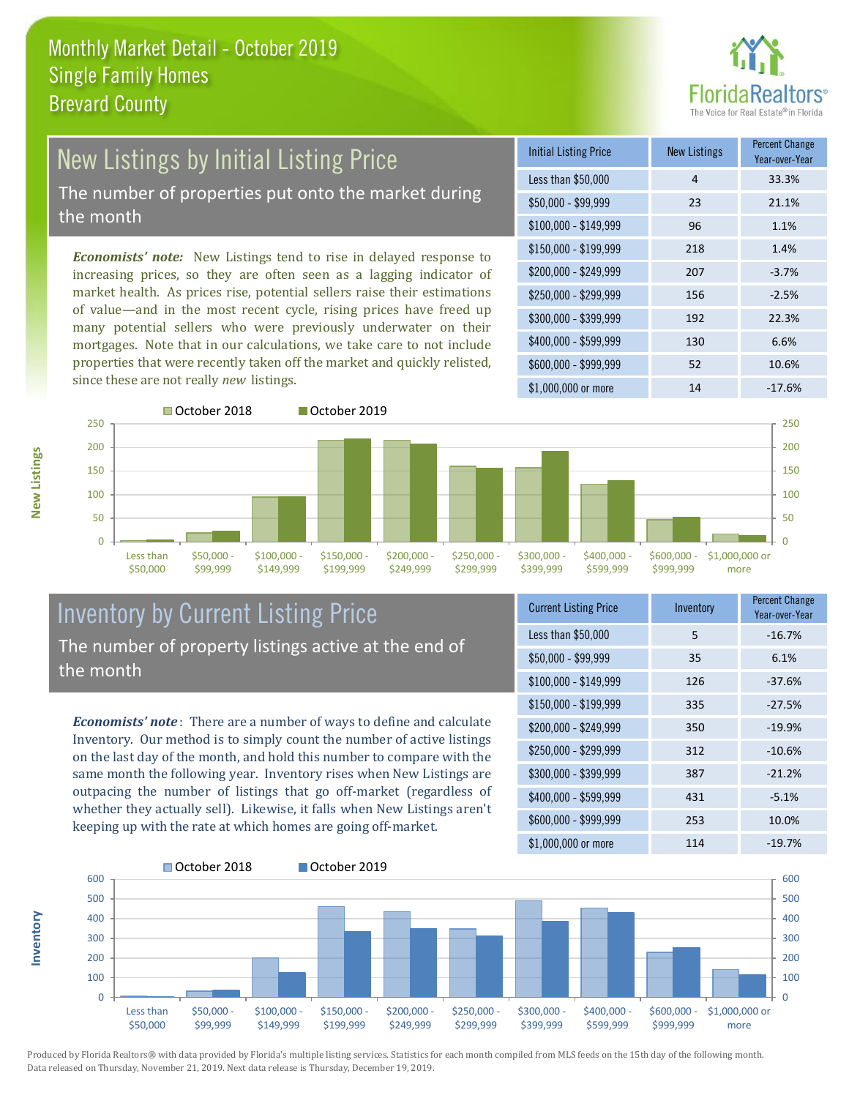

# New Listings by Initial Listing Price The number of properties put onto the market during

the month

*Economists' note:* New Listings tend to rise in delayed response to increasing prices, so they are often seen as a lagging indicator of market health. As prices rise, potential sellers raise their estimations of value—and in the most recent cycle, rising prices have freed up many potential sellers who were previously underwater on their mortgages. Note that in our calculations, we take care to not include properties that were recently taken off the market and quickly relisted, since these are not really *new* listings.

| <b>Initial Listing Price</b> | <b>New Listings</b> | <b>Percent Change</b><br>Year-over-Year |
|------------------------------|---------------------|-----------------------------------------|
| Less than \$50,000           | 4                   | 33.3%                                   |
| $$50,000 - $99,999$          | 23                  | 21.1%                                   |
| $$100,000 - $149,999$        | 96                  | 1.1%                                    |
| $$150,000 - $199,999$        | 218                 | 1.4%                                    |
| \$200,000 - \$249,999        | 207                 | $-3.7%$                                 |
| $$250,000 - $299,999$        | 156                 | $-2.5%$                                 |
| \$300,000 - \$399,999        | 192                 | 22.3%                                   |
| \$400,000 - \$599,999        | 130                 | 6.6%                                    |
| \$600,000 - \$999,999        | 52                  | 10.6%                                   |
| $$1,000,000$ or more         | 14                  | $-17.6%$                                |



**Inventory**

**New Listings**



### Inventory by Current Listing Price The number of property listings active at the end of the month

*Economists' note* : There are a number of ways to define and calculate Inventory. Our method is to simply count the number of active listings on the last day of the month, and hold this number to compare with the same month the following year. Inventory rises when New Listings are outpacing the number of listings that go off-market (regardless of whether they actually sell). Likewise, it falls when New Listings aren't keeping up with the rate at which homes are going off-market.

| <b>Current Listing Price</b> | Inventory | <b>Percent Change</b><br>Year-over-Year |
|------------------------------|-----------|-----------------------------------------|
| Less than \$50,000           | 5         | $-16.7%$                                |
| $$50,000 - $99,999$          | 35        | 6.1%                                    |
| $$100,000 - $149,999$        | 126       | $-37.6%$                                |
| $$150,000 - $199,999$        | 335       | $-27.5%$                                |
| \$200,000 - \$249,999        | 350       | $-19.9%$                                |
| \$250,000 - \$299,999        | 312       | $-10.6%$                                |
| \$300,000 - \$399,999        | 387       | $-21.2%$                                |
| \$400,000 - \$599,999        | 431       | $-5.1%$                                 |
| \$600,000 - \$999,999        | 253       | 10.0%                                   |
| \$1,000,000 or more          | 114       | $-19.7%$                                |